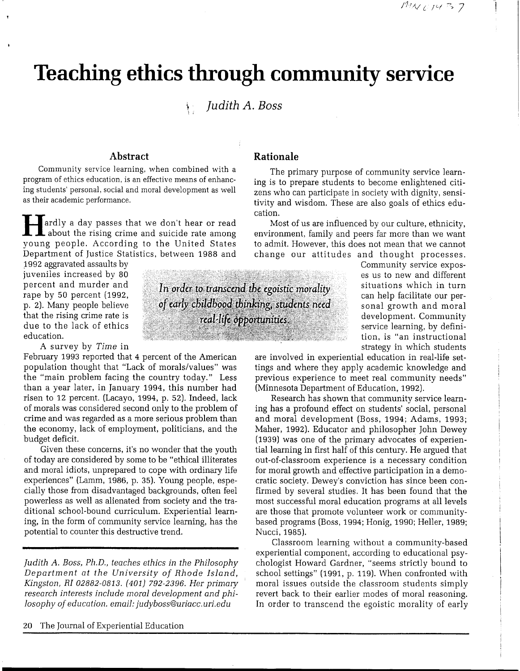# **Teaching ethics through community service**

*Judith A. Boss* 

### **Abstract**

Community service learning, when combined with <sup>a</sup> program of ethics education, is an effective means of enhancing students' personal, social and moral development as well as their academic performance.

ardly a day passes that we don't hear or read about the rising crime and suicide rate among young people. According to the United States Department of Justice Statistics, between 1988 and

1992 aggravated assaults by juveniles increased by <sup>80</sup> percent and murder and rape by 50 percent (1992, p. 2). Many people believe that the rising crime rate is due to the lack of ethics education.

A survey by *Time* in

February 1993 reported that 4 percent of the American population thought that "Lack of morals/values" was the "main problem facing the country today." Less than a year later, in January 1994, this number had risen to 12 percent. (Lacayo, 1994, p. 52). Indeed, lack of morals was considered second only to the problem of crime and was regarded as a more serious problem than the economy, lack of employment, politicians, and the budget deficit.

Given these concerns, it's no wonder that the youth of today are considered by some to be "ethical illiterates and moral idiots, unprepared to cope with ordinary life experiences" (Lamm, 1986, p. 35). Young people, especially those from disadvantaged backgrounds, often feel powerless as well as alienated from society and the traditional school-bound curriculum. Experiential learning, in the form of community service learning, has the potential to counter this destructive trend.

*Judith* A. *Boss, Ph.D., teaches ethics in the Philosophy Department at the University of Rhode Island, Kingston, RI* 02882-0813. (401) 792-2396. *Her primary research interests include moral development and philosophy of education. email: judyboss@uriacc.uri.edu* 

**Rationale** 

The primary purpose of community service learning is to prepare students to become enlightened citizens who can participate in society with dignity, sensitivity and wisdom. These are also goals of ethics education.

Most of us are influenced by our culture, ethnicity, environment, family and peers far more than we want to admit. However, this does not mean that we cannot change our attitudes and thought processes.

In order to transcend the egoistic morality of early childhood thinking, students need real-life opportunities.

Community service exposes us to new and different situations which in turn can help facilitate our personal growth and moral development. Community service learning, by definition, is "an instructional strategy in which students

are involved in experiential education in real-life settings and where they apply academic knowledge and previous experience to meet real community needs" (Minnesota Department of Education, 1992).

Research has shown that community service learning has a profound effect on students' social, personal and moral development (Boss, 1994; Adams, 1993; Maher, 1992). Educator and philosopher John Dewey (1939) was one of the primary advocates of experiential learning in first half of this century. He argued that out-of-classroom experience is a necessary condition for moral growth and effective participation in a democratic society. Dewey's conviction has since been confirmed by several studies. It has been found that the most successful moral education programs at all levels are those that promote volunteer work or communitybased programs (Boss, 1994; Honig, 1990; Heller, 1989; Nucci, 1985).

Classroom learning without a community-based experiential component, according to educational psychologist Howard Gardner, "seems strictly bound to school settings" (1991, p. 119). When confronted with moral issues outside the classroom students simply revert back to their earlier modes of moral reasoning. In order to transcend the egoistic morality of early

20 The Journal of Experiential Education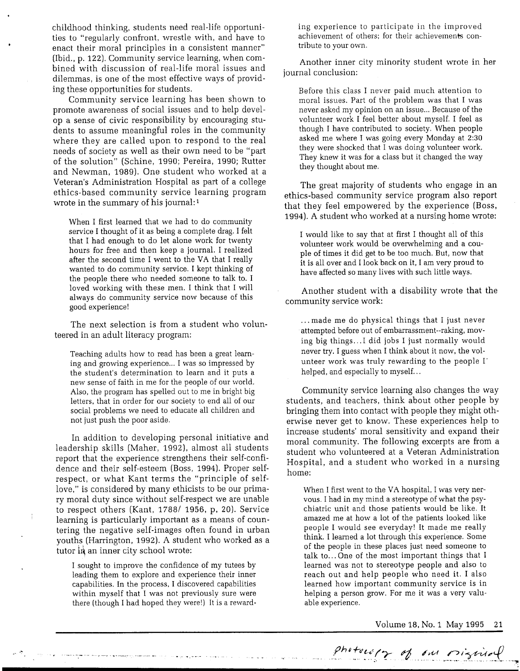childhood thinking, students need real-life opportunities to "regularly confront, wrestle with, and have to enact their moral principles in a consistent manner" (Ibid., p. 122). Community service learning, when combined with discussion of real-life moral issues and dilemmas, is one of the most effective ways of providing these opportunities for students.

Community service learning has been shown to promote awareness of social issues and to help develop a sense of civic responsibility by encouraging students to assume meaningful roles in the community where they are called upon to respond to the real needs of society as well as their own need to be "part of the solution" (Schine, 1990; Pereira, 1990; Rutter and Newman, 1989). One student who worked at a Veteran's Administration Hospital as part of a college ethics-based community service learning program wrote in the summary of his journal:<sup>1</sup>

When I first learned that we had to do community service I thought of it as being a complete drag. I felt that I had enough to do let alone work for twenty hours for free and then keep a journal. I realized after the second time I went to the VA that I really wanted to do community service. I kept thinking of the people there who needed someone to talk to. I loved working with these men. I think that I will always do community service now because of this good experience!

The next selection is from a student who volunteered in an adult literacy program:

Teaching adults how to read has been a great learning and growing experience... I was so impressed by the student's determination to learn and it puts a new sense of faith in me for the people of our world. Also, the program has spelled out to me in bright big letters, that in order for our society to end all of our social problems we need to educate all children and not just push the poor aside.

In addition to developing personal initiative and leadership skills (Maher, 1992), almost all students report that the experience strengthens their self-confidence and their self-esteem (Boss, 1994). Proper selfrespect, or what Kant terms the "principle of selflove," is considered by many ethicists to be our primary moral duty since without self-respect we are unable to respect others (Kant, 1788/ 1956, p, 20). Service learning is particularly important as a means of countering the negative self-images often found in urban youths (Harrington, 1992). A student who worked as a tutor in an inner city school wrote:

I sought to improve the confidence of my tutees by leading them to explore and experience their inner capabilities. In the process, I discovered capabilities within myself that I was not previously sure were there (though I had hoped they were!) It is a rewarding experience to participate in the improved achievement of others; for their achievements contribute to your own.

Another inner city minority student wrote in her journal conclusion:

Before this class I never paid much attention to moral issues. Part of the problem was that I was never asked my opinion on an issue ... Because of the volunteer work I feel better about myself. I feel as though I have contributed to society. When people asked me where I was going every Monday at 2:30 they were shocked that I was doing volunteer work. They knew it was for a class but it changed the way they thought about me.

The great majority of students who engage in an ethics-based community service program also repor<sup>t</sup> that they feel empowered by the experience (Boss, 1994). A student who worked at a nursing home wrote:

I would like to say that at first I thought all of this volunteer work would be overwhelming and a couple of times it did get to be too much. But, now that it is all over and I look back on it, I am very proud to have affected so many lives with such little ways.

Another student with a disability wrote that the community service work:

... made me do physical things that I just never attempted before out of embarrassment--raking, moving big things ... I did jobs I just normally would never try. I guess when I think about it now, the volunteer work was truly rewarding to the people I· helped, and especially to myself...

Community service learning also changes the way students, and teachers, think about other people by bringing them into contact with people they might otherwise never get to know. These experiences help to increase students' moral sensitivity and expand their moral community. The following excerpts are from a student who volunteered at a Veteran Administration Hospital, and a student who worked in a nursing home:

When I first went to the VA hospital, I was very nervous. I had in my mind a stereotype of what the psychiatric unit and those patients would be like. It amazed me at how a lot of the patients looked like people I would see everyday! It made me really think. I learned a lot through this experience. Some of the people in these places just need someone to talk to... One of the most important things that I learned was not to stereotype people and also to reach out and help people who need it. I also learned how important community service is in helping a person grow. For me it was a very valuable experience.

Volume 18, No. 1 May 1995

photocopy of our original

 $\cdots$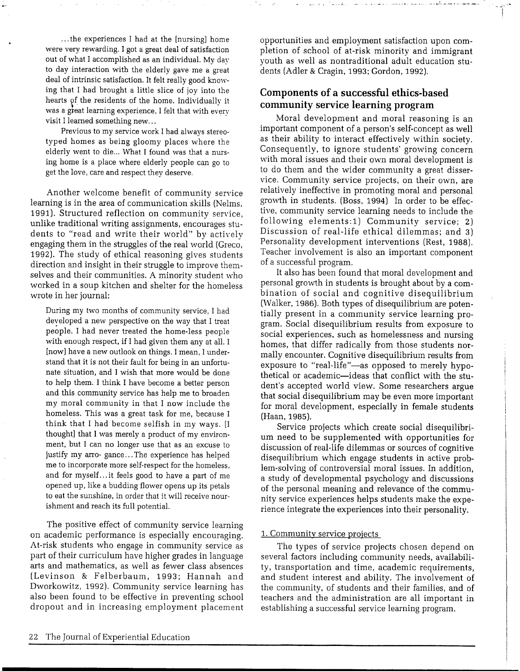... the experiences I had at the [nursing] home were very rewarding. I got a great deal of satisfaction out of what I accomplished as an individual. My day to day interaction with the elderly gave me a great deal of intrinsic satisfaction. It felt really good knowing that I had brought a little slice of joy into the hearts of the residents of the home. Individually it was a great learning experience, I felt that with every visit I learned something new...

Previous to my service work I had always stereotyped homes as being gloomy places where the elderly went to die... What I found was that a nursing home is a place where elderly people can go to get the love, care and respect they deserve.

Another welcome benefit of community service learning is in the area of communication skills (Nelms, 1991). Structured reflection on community service, unlike traditional writing assignments, encourages students to "read and write their world" by actively engaging them in the struggles of the real world (Greco, 1992). The study of ethical reasoning gives students direction and insight in their struggle to improve themselves and their communities. A minority student who worked in a soup kitchen and shelter for the homeless wrote in her journal:

During my two months of community service, I had developed a new perspective on the way that I treat people. I had never treated the home-less people with enough respect, if I had given them any at all. I [now] have a new outlook on things. I mean, I understand that it is not their fault for being in an unfortunate situation, and I wish that more would be done to help them. I think I have become a better person and this community service has help me to broaden my moral community in that I now include the homeless. This was a great task for me, because I think that I had become selfish in my ways. [I thought] that I was merely a product of my environment, but I can no longer use that as an excuse to justify my arro- gance ... The experience has helped me to incorporate more self-respect for the homeless, and for myself... it feels good to have a part of me opened up, like a budding flower opens up its petals to eat the sunshine, in order that it will receive nourishment and reach its full potential.

The positive effect of community service learning on academic performance is especially encouraging. At-risk students who engage in community service as part of their curriculum have higher grades in language arts and mathematics, as. well as fewer class absences (Levinson & Felberbaum, 1993; Hannah and Dworkowitz, 1992). Community service learning has also been found to be effective in preventing school dropout and in increasing employment placement opportunities and employment satisfaction upon com<sup>p</sup>letion of school of at-risk minority and immigrant youth as well as nontraditional adult education students (Adler & Cragin, 1993; Gordon, 1992).

-~ ...... I

# **Components of a successful ethics-based community service learning program**

Moral development and moral reasoning is an important component of a person's self-concept as well as their ability to interact effectively within society. Consequently, to ignore students' growing concern with moral issues and their own moral development is to do them and the wider community a great disservice. Community service projects, on their own, are relatively ineffective in promoting moral and personal growth in students. (Boss, 1994) In order to be effective, community service learning needs to include the following elements:1) Community service; 2) Discussion of real-life ethical dilemmas; and 3) Personality development interventions (Rest, 1988). Teacher involvement is also an important component of a successful program.

It also has been found that moral development and personal growth in students is brought about by a combination of social and cognitive disequilibrium (Walker, 1986). Both types of disequilibrium are potentially present in a community service learning program. Social disequilibrium results from exposure to social experiences, such as homelessness and nursing homes, that differ radically from those students normally encounter. Cognitive disequilibrium results from exposure to "real-life"-as opposed to merely hypothetical or academic-ideas that conflict with the student's accepted world view. Some researchers argue that social disequilibrium may be even more important for moral development, especially in female students (Haan, 1985).

Service projects which create social disequilibrium need to be supplemented with opportunities for discussion of real-life dilemmas or sources of cognitive disequilibrium which engage students in active problem-solving of controversial moral issues. In addition, a study of developmental psychology and discussions of the personal meaning and relevance of the community service experiences helps students make the experience integrate the experiences into their personality.

#### 1. Community service projects

The types of service projects chosen depend on several factors including community needs, availability, transportation and time, academic requirements, and student interest and ability. The involvement of the community, of students and their families, and of teachers and the administration are all important in establishing a successful service learning program.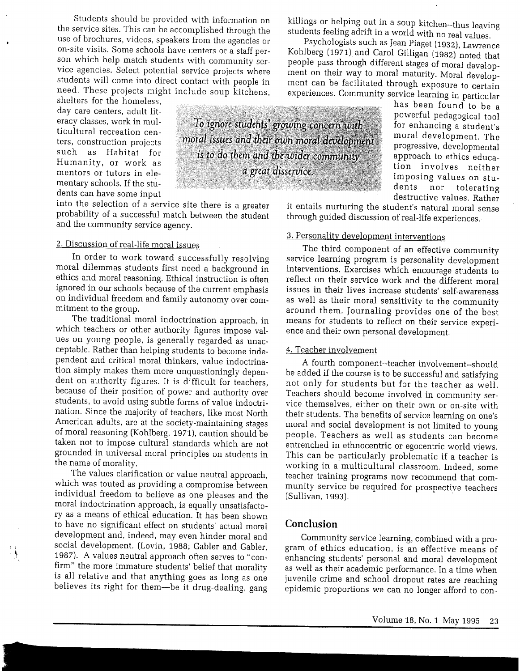Students should be provided with information on the service sites. This can be accomplished through the use of brochures, videos, speakers from the agencies or on-site visits. Some schools have centers or a staff person which help match students with community service agencies. Select potential service projects where students will come into direct contact with people in need. These projects might include soup kitchens,

shelters for the homeless, day care centers, adult literacy classes, work in multicultural recreation centers, construction projects such as Habitat for Humanity, or work as mentors or tutors in elementary schools. If the students can have some input

into the selection of a service site there is a greater probability of a successful match between the student and the community service agency.

#### 2. Discussion of real-life moral issues

In order to work toward successfully resolving moral dilemmas students first need a background in ethics and moral reasoning. Ethical instruction is often ignored in our schools because of the current emphasis on individual freedom and family autonomy over commitment to the group.

The traditional moral indoctrination approach, in which teachers or other authority figures impose values on young people, is generally regarded as unacceptable. Rather than helping students to become independent and critical moral thinkers, value indoctrination simply makes them more unquestioningly dependent on authority figures. It is difficult for teachers, because of their position of power and authority over students, to avoid using subtle forms of value indoctrination. Since the majority of teachers, like most North American adults, are at the society-maintaining stages of moral reasoning (Kohlberg, 1 971), caution should be taken not to impose cultural standards which are not grounded in universal moral principles on students in the name of morality.

The values clarification or value neutral approach, which was touted as providing a compromise between individual freedom to believe as one pleases and the moral indoctrination approach, is equally unsatisfactory as a means of ethical education. It has been shown to have no significant effect on students' actual moral development and, indeed, may even hinder moral and social development. (Lovin, 1988; Gabler and Gabler, 1987). A values neutral approach often serves to "confirm" the more immature students' belief that morality is all relative and that anything goes as long as one believes its right for them-be it drug-dealing, gang killings or helping out in a soup kitchen--thus leaving students feeling adrift in a world with no real values.

Psychologists such as Jean Piaget (1932), Lawrence Kohlberg (1971) and Carol Gilligan (1982) noted that people pass through different stages of moral development on their way to moral maturity. Moral development can be facilitated through exposure to certain experiences. Community service learning in particular

has been found to be <sup>a</sup> powerful pedagogical tool for enhancing a student's moral development. The progressive, developmental approach to ethics education involves neither imposing values on students nor tolerating destructive values. Rather

it entails nurturing the student's natural moral sense through guided discussion of real-life experiences.

#### 3. Personality development interventions

The third component of an effective community service learning program is personality development interventions. Exercises which encourage students to reflect on their service work and the different moral issues in their lives increase students' self-awareness as well as their moral sensitivity to the community around them. Journaling provides one of the best means for students to reflect on their service experience and their own personal development.

# 4. Teacher involvement

A fourth component--teacher involvement--should be added if the course is to be successful and satisfying not only for students but for the teacher as well. Teachers should become involved in community service themselves, either on their own or on-site with their students. The benefits of service learning on one's moral and social development is not limited to young people. Teachers as well as students can become entrenched in ethnocentric or egocentric world views. This can be particularly problematic if a teacher is working in a multicultural classroom. Indeed, some teacher training programs now recommend that community service be required for prospective teachers (Sullivan, 1993).

# **Conclusion**

Community service learning, combined with a program of ethics education, is an effective means of enhancing students' personal and moral development as well as their academic performance. In a time when juvenile crime and school dropout rates are reaching epidemic proportions we can no longer afford to con-